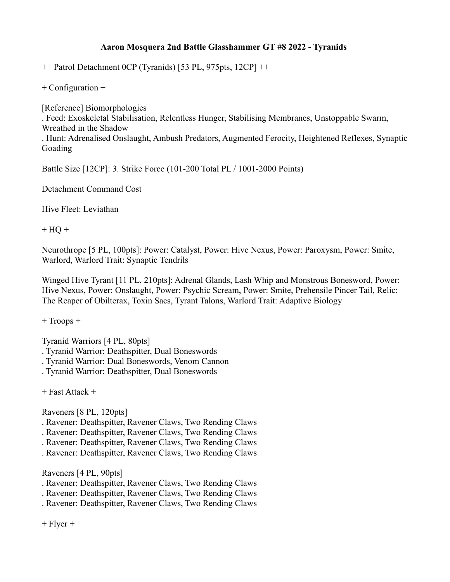## **Aaron Mosquera 2nd Battle Glasshammer GT #8 2022 - Tyranids**

++ Patrol Detachment 0CP (Tyranids) [53 PL, 975pts, 12CP] ++

+ Configuration +

[Reference] Biomorphologies . Feed: Exoskeletal Stabilisation, Relentless Hunger, Stabilising Membranes, Unstoppable Swarm, Wreathed in the Shadow . Hunt: Adrenalised Onslaught, Ambush Predators, Augmented Ferocity, Heightened Reflexes, Synaptic Goading

Battle Size [12CP]: 3. Strike Force (101-200 Total PL / 1001-2000 Points)

Detachment Command Cost

Hive Fleet: Leviathan

 $+$  HQ  $+$ 

Neurothrope [5 PL, 100pts]: Power: Catalyst, Power: Hive Nexus, Power: Paroxysm, Power: Smite, Warlord, Warlord Trait: Synaptic Tendrils

Winged Hive Tyrant [11 PL, 210pts]: Adrenal Glands, Lash Whip and Monstrous Bonesword, Power: Hive Nexus, Power: Onslaught, Power: Psychic Scream, Power: Smite, Prehensile Pincer Tail, Relic: The Reaper of Obilterax, Toxin Sacs, Tyrant Talons, Warlord Trait: Adaptive Biology

+ Troops +

Tyranid Warriors [4 PL, 80pts]

- . Tyranid Warrior: Deathspitter, Dual Boneswords
- . Tyranid Warrior: Dual Boneswords, Venom Cannon
- . Tyranid Warrior: Deathspitter, Dual Boneswords

+ Fast Attack +

Raveners [8 PL, 120pts]

- . Ravener: Deathspitter, Ravener Claws, Two Rending Claws
- . Ravener: Deathspitter, Ravener Claws, Two Rending Claws

. Ravener: Deathspitter, Ravener Claws, Two Rending Claws

. Ravener: Deathspitter, Ravener Claws, Two Rending Claws

Raveners [4 PL, 90pts]

- . Ravener: Deathspitter, Ravener Claws, Two Rending Claws
- . Ravener: Deathspitter, Ravener Claws, Two Rending Claws
- . Ravener: Deathspitter, Ravener Claws, Two Rending Claws

 $+$  Flyer  $+$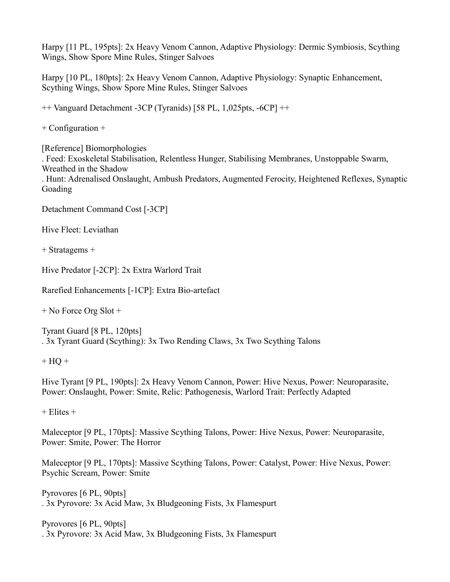Harpy [11 PL, 195pts]: 2x Heavy Venom Cannon, Adaptive Physiology: Dermic Symbiosis, Scything Wings, Show Spore Mine Rules, Stinger Salvoes

Harpy [10 PL, 180pts]: 2x Heavy Venom Cannon, Adaptive Physiology: Synaptic Enhancement, Scything Wings, Show Spore Mine Rules, Stinger Salvoes

++ Vanguard Detachment -3CP (Tyranids) [58 PL, 1,025pts, -6CP] ++

+ Configuration +

[Reference] Biomorphologies . Feed: Exoskeletal Stabilisation, Relentless Hunger, Stabilising Membranes, Unstoppable Swarm, Wreathed in the Shadow . Hunt: Adrenalised Onslaught, Ambush Predators, Augmented Ferocity, Heightened Reflexes, Synaptic Goading

Detachment Command Cost [-3CP]

Hive Fleet: Leviathan

+ Stratagems +

Hive Predator [-2CP]: 2x Extra Warlord Trait

Rarefied Enhancements [-1CP]: Extra Bio-artefact

+ No Force Org Slot +

Tyrant Guard [8 PL, 120pts] . 3x Tyrant Guard (Scything): 3x Two Rending Claws, 3x Two Scything Talons

 $+ HO +$ 

Hive Tyrant [9 PL, 190pts]: 2x Heavy Venom Cannon, Power: Hive Nexus, Power: Neuroparasite, Power: Onslaught, Power: Smite, Relic: Pathogenesis, Warlord Trait: Perfectly Adapted

+ Elites +

Maleceptor [9 PL, 170pts]: Massive Scything Talons, Power: Hive Nexus, Power: Neuroparasite, Power: Smite, Power: The Horror

Maleceptor [9 PL, 170pts]: Massive Scything Talons, Power: Catalyst, Power: Hive Nexus, Power: Psychic Scream, Power: Smite

Pyrovores [6 PL, 90pts] . 3x Pyrovore: 3x Acid Maw, 3x Bludgeoning Fists, 3x Flamespurt

Pyrovores [6 PL, 90pts] . 3x Pyrovore: 3x Acid Maw, 3x Bludgeoning Fists, 3x Flamespurt